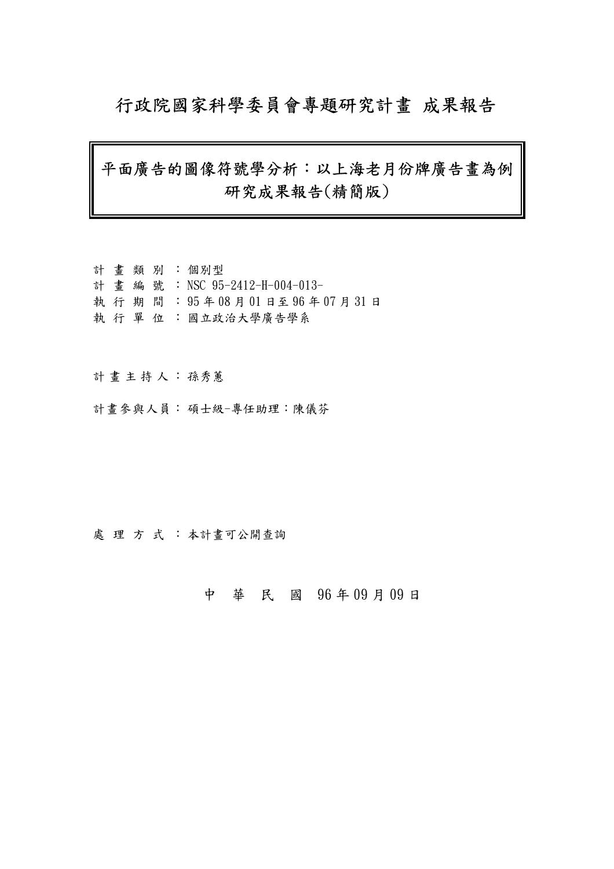## 行政院國家科學委員會專題研究計畫 成果報告

## 平面廣告的圖像符號學分析:以上海老月份牌廣告畫為例 研究成果報告(精簡版)

計 畫 類 別 : 個別型 計 畫 編 號 : NSC 95-2412-H-004-013- 執 行 期 間 : 95 年 08 月 01 日至 96 年 07 月 31 日 執 行 單 位 :國立政治大學廣告學系

#### 計畫主持人: 孫秀蕙

計畫參與人員: 碩士級-專任助理:陳儀芬

處理方式:本計畫可公開查詢

中 華 民 國 96 年 09 月 09 日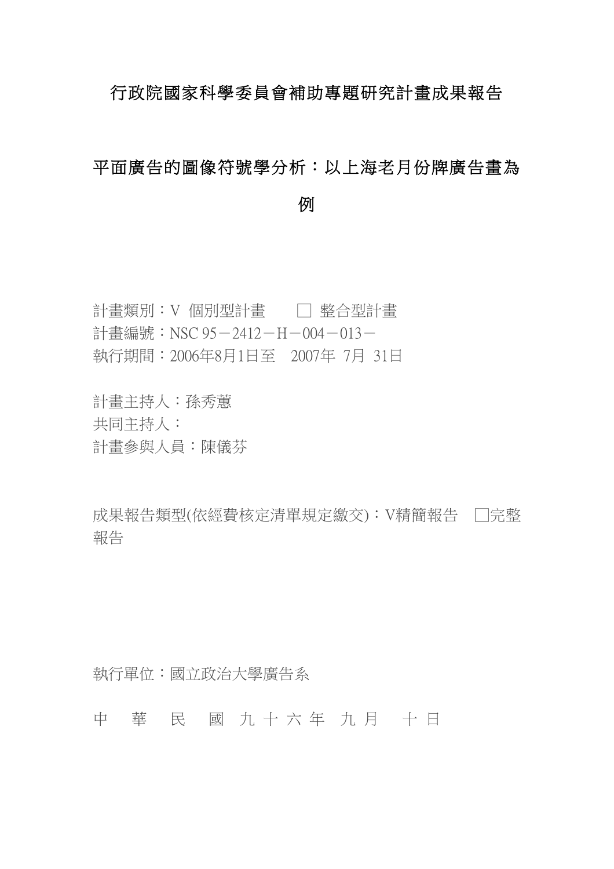### 行政院國家科學委員會補助專題研究計畫成果報告

# 平面廣告的圖像符號學分析:以上海老月份牌廣告畫為

例

- 計畫類別:Ⅴ 個別型計畫 □ │ 整合型計畫 計書編號: NSC 95-2412-H-004-013-執行期間:2006年8月1日至 2007年 7月 31日
- 
- 計畫主持人:孫秀蕙
- 共同主持人:
- 計畫參與人員:陳儀芬

成果報告類型(依經費核定清單規定繳交):V精簡報告 □完整 報告

執行單位:國立政治大學廣告系

中 華 民 國 九 十 六 年 九 月 十 日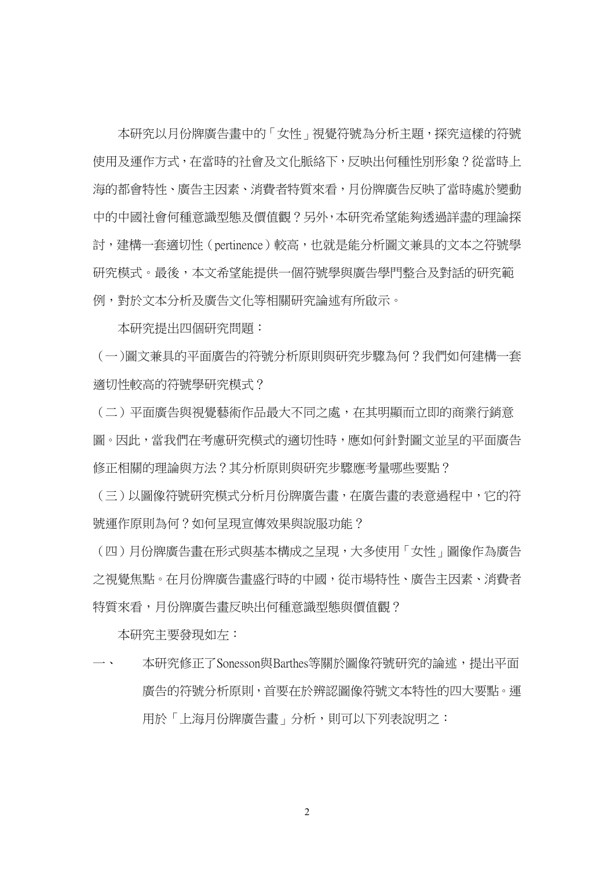本研究以月份牌廣告畫中的「女性」視覺符號為分析主題,探究這樣的符號 使用及運作方式,在當時的社會及文化脈絡下,反映出何種性別形象?從當時上 海的都會特性、廣告主因素、消費者特質來看,月份牌廣告反映了當時處於變動 中的中國社會何種意識型態及價值觀?另外,本研究希望能夠透過詳盡的理論探 討,建構一套適切性(pertinence)較高,也就是能分析圖文兼具的文本之符號學 研究模式。最後,本文希望能提供一個符號學與廣告學門整合及對話的研究範 例,對於文本分析及廣告文化等相關研究論述有所啟示。

本研究提出四個研究問題:

(一)圖文兼具的平面廣告的符號分析原則與研究步驟為何?我們如何建構一套 適切性較高的符號學研究模式?

(二)平面廣告與視覺藝術作品最大不同之處,在其明顯而立即的商業行銷意 圖。因此,當我們在考慮研究模式的適切性時,應如何針對圖文並呈的平面廣告 修正相關的理論與方法?其分析原則與研究步驟應考量哪些要點?

(三)以圖像符號研究模式分析月份牌廣告畫,在廣告畫的表意過程中,它的符 號運作原則為何?如何呈現宣傳效果與說服功能?

(四)月份牌廣告畫在形式與基本構成之呈現,大多使用「女性」圖像作為廣告 之視覺焦點。在月份牌廣告畫盛行時的中國,從市場特性、廣告主因素、消費者 特質來看,月份牌廣告畫反映出何種意識型態與價值觀?

本研究主要發現如左:

本研究修正了Sonesson與Barthes等關於圖像符號研究的論述,提出平面 廣告的符號分析原則,首要在於辨認圖像符號文本特性的四大要點。運 用於「上海月份牌廣告書」分析,則可以下列表說明之:

2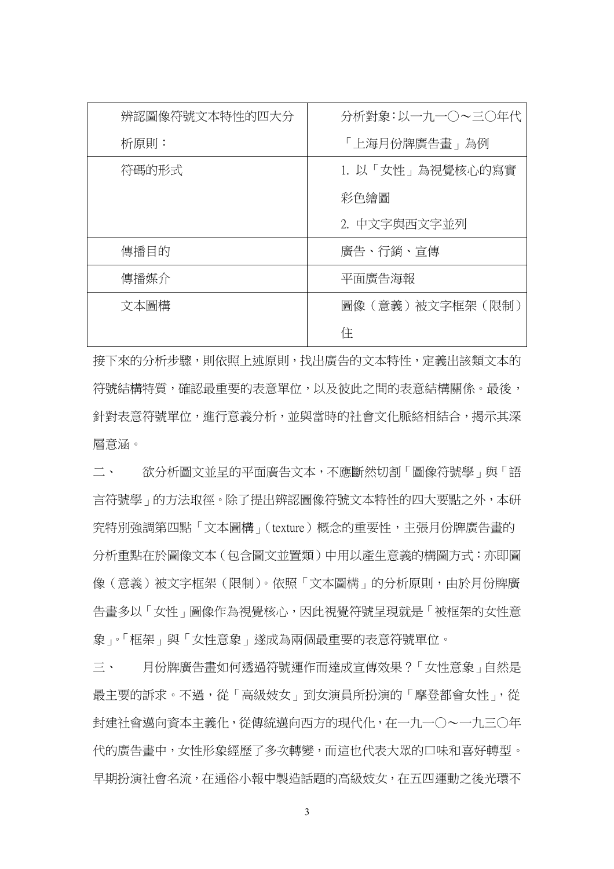| 辨認圖像符號文本特性的四大分 | 分析對象:以一九一〇~三〇年代  |
|----------------|------------------|
| 析原則:           | 「上海月份牌廣告畫」為例     |
| 符碼的形式          | 1. 以「女性」為視覺核心的寫實 |
|                | 彩色繪圖             |
|                | 2. 中文字與西文字並列     |
| 傳播目的           | 廣告、行銷、宣傳         |
| 傳播媒介           | 平面廣告海報           |
| 文本圖構           | 圖像(意義)被文字框架(限制)  |
|                | 住                |

接下來的分析步驟,則依照上述原則,找出廣告的文本特性,定義出該類文本的 符號結構特質,確認最重要的表意單位,以及彼此之間的表意結構關係。最後, 針對表意符號單位,進行意義分析,並與當時的社會文化脈絡相結合,揭示其深 層意涵。

二、 欲分析圖文並呈的平面廣告文本,不應斷然切割「圖像符號學」與「語 言符號學」的方法取徑。除了提出辨認圖像符號文本特性的四大要點之外,本研 究特別強調第四點「文本圖構」(texture)概念的重要性,主張月份牌廣告畫的 分析重點在於圖像文本(包含圖文並置類)中用以產生意義的構圖方式:亦即圖 像(意義)被文字框架(限制)。依照「文本圖構」的分析原則,由於月份牌廣 告畫多以「女性」圖像作為視覺核心,因此視覺符號呈現就是「被框架的女性意 象」。「框架」與「女性意象」遂成為兩個最重要的表意符號單位。

三、 月份牌廣告畫如何透過符號運作而達成宣傳效果?「女性意象」自然是 最主要的訴求。不過,從「高級妓女」到女演員所扮演的「摩登都會女性」,從 封建社會邁向資本主義化,從傳統邁向西方的現代化,在一九一○~一九三○年 代的廣告畫中,女性形象經歷了多次轉變,而這也代表大眾的口味和喜好轉型。 早期扮演社會名流,在通俗小報中製造話題的高級妓女,在五四運動之後光環不

3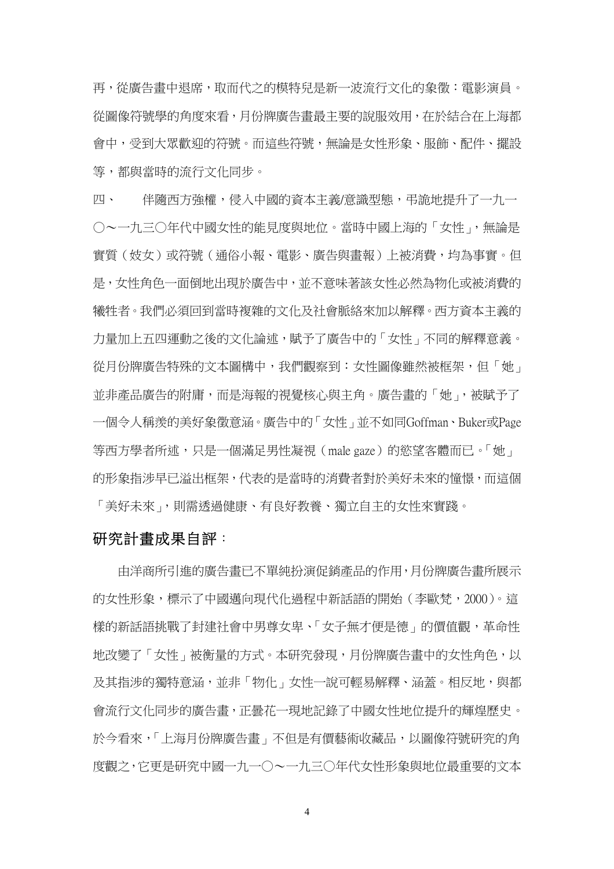再,從廣告畫中退席,取而代之的模特兒是新一波流行文化的象徵:電影演員。 從圖像符號學的角度來看,月份牌廣告畫最主要的說服效用,在於結合在上海都 會中,受到大眾歡迎的符號。而這些符號,無論是女性形象、服飾、配件、擺設 等,都與當時的流行文化同步。

四、 伴隨西方強權,侵入中國的資本主義/意識型態,弔詭地提升了一九一 ○~一九三○年代中國女性的能見度與地位。當時中國上海的「女性」,無論是 實質(妓女)或符號(通俗小報、電影、廣告與畫報)上被消費,均為事實。但 是,女性角色一面倒地出現於廣告中,並不意味著該女性必然為物化或被消費的 犧牲者。我們必須回到當時複雜的文化及社會脈絡來加以解釋。西方資本主義的 力量加上五四運動之後的文化論述,賦予了廣告中的「女性」不同的解釋意義。 從月份牌廣告特殊的文本圖構中,我們觀察到:女性圖像雖然被框架,但「她」 並非產品廣告的附庸,而是海報的視覺核心與主角。廣告畫的「她」,被賦予了 一個令人稱羨的美好象徵意涵。廣告中的「女性」並不如同Goffman、Buker或Page 等西方學者所述,只是一個滿足男性凝視(male gaze)的慾望客體而已。「她」 的形象指涉早已溢出框架,代表的是當時的消費者對於美好未來的憧憬,而這個 「美好未來」,則需诱過健康、有良好教養、獨立自主的女性來實踐。

#### 研究計畫成果自評:

由洋商所引進的廣告畫已不單純扮演促銷產品的作用,月份牌廣告畫所展示 的女性形象,標示了中國邁向現代化過程中新話語的開始 (李歐梵, 2000)。這 樣的新話語挑戰了封建社會中男尊女卑、「女子無才便是德」的價值觀,革命性 地改變了「女性」被衡量的方式。本研究發現,月份牌廣告畫中的女性角色,以 及其指涉的獨特意涵,並非「物化」女性一說可輕易解釋、涵蓋。相反地,與都 會流行文化同步的廣告畫,正曇花一現地記錄了中國女性地位提升的輝煌歷史。 於今看來,「上海月份牌廣告畫」不但是有價藝術收藏品,以圖像符號研究的角 度觀之,它更是研究中國一九一○~一九三○年代女性形象與地位最重要的文本

4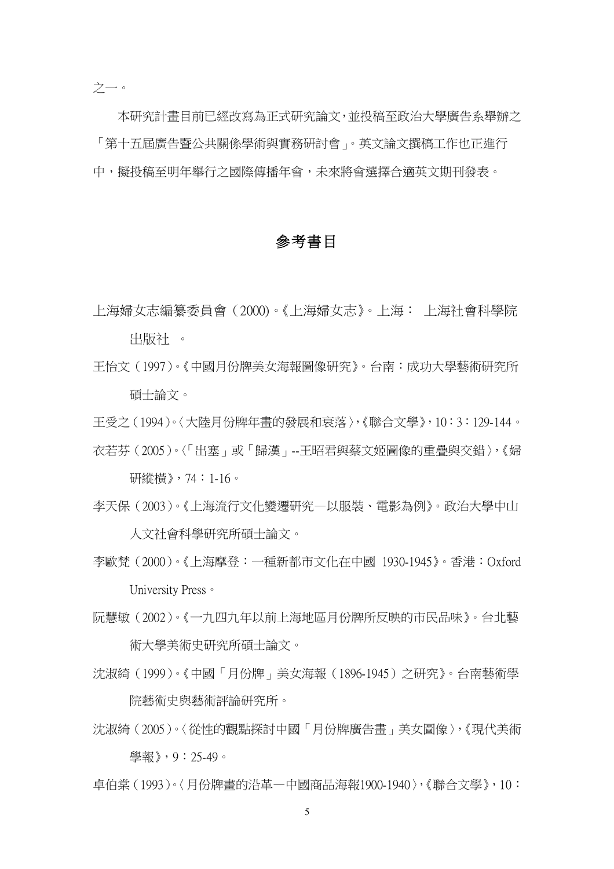本研究計畫目前已經改寫為正式研究論文,並投稿至政治大學廣告系舉辦之 「第十五屆廣告暨公共關係學術與實務研討會」。英文論文撰稿工作也正進行 中,擬投稿至明年舉行之國際傳播年會,未來將會選擇合適英文期刊發表。

#### 參考書目

上海婦女志編纂委員會(2000)。《上海婦女志》。上海: 上海社會科學院 出版社 。

王怡文(1997)。《中國月份牌美女海報圖像研究》。台南:成功大學藝術研究所 碩士論文。

王受之(1994)。〈大陸月份牌年畫的發展和衰落〉,《聯合文學》,10:3:129-144。 衣若芬(2005)。〈「出塞」或「歸漢」--王昭君與蔡文姬圖像的重疊與交錯〉,《婦

研縱橫》,74:1-16。

- 李天保(2003)。《上海流行文化變遷研究—以服裝、電影為例》。政治大學中山 人文社會科學研究所碩士論文。
- 李歐梵(2000)。《上海摩登:一種新都市文化在中國 1930-1945》。香港:Oxford University Press。
- 阮慧敏(2002)。《一九四九年以前上海地區月份牌所反映的市民品味》。台北藝 術大學美術史研究所碩士論文。
- 沈淑綺(1999)。《中國「月份牌」美女海報(1896-1945)之研究》。台南藝術學 院藝術史與藝術評論研究所。
- 沈淑綺(2005)。〈從性的觀點探討中國「月份牌廣告畫」美女圖像〉,《現代美術 學報》,9:25-49。
- 卓伯棠(1993)。〈月份牌畫的沿革—中國商品海報1900-1940〉,《聯合文學》,10: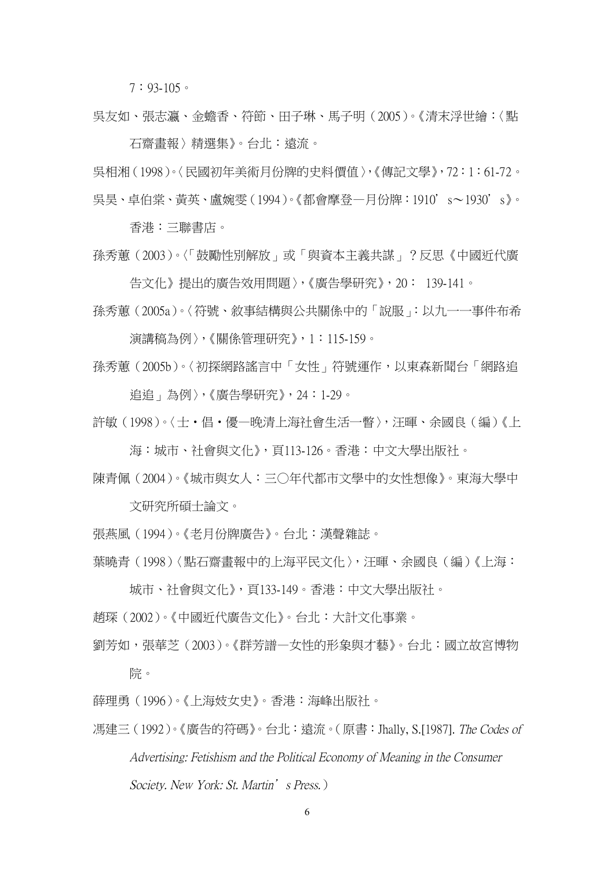7:93-105。

吳友如、張志瀛、金蟾香、符節、田子琳、馬子明(2005)。《清末浮世繪:〈點 石齋畫報〉精選集》。台北:遠流。

吳相湘(1998)。〈民國初年美術月份牌的史料價值〉,《傳記文學》,72:1:61-72。 吳昊、卓伯棠、黃英、盧婉雯(1994)。《都會摩登—月份牌:1910's~1930's》。

香港:三聯書店。

孫秀蕙(2003)。〈「鼓勵性別解放」或「與資本主義共謀」?反思《中國近代廣 告文化》提出的廣告效用問題〉,《廣告學研究》,20: 139-141。

孫秀蕙(2005a)。〈符號、敘事結構與公共關係中的「說服」:以九一一事件布希 演講稿為例〉,《關係管理研究》,1:115-159。

孫秀蕙(2005b)。〈初探網路謠言中「女性」符號運作,以東森新聞台「網路追 追追」為例〉,《廣告學研究》,24:1-29。

許敏(1998)。〈士‧倡‧優—晚清上海社會生活一瞥〉,汪暉、余國良(編)《上

海:城市、社會與文化》,頁113-126。香港:中文大學出版社。

陳青佩(2004)。《城市與女人:三○年代都市文學中的女性想像》。東海大學中

文研究所碩士論文。

張燕風(1994)。《老月份牌廣告》。台北:漢聲雜誌。

葉曉青(1998)〈點石齋畫報中的上海平民文化〉,汪暉、余國良(編)《上海:

城市、社會與文化》,頁133-149。香港:中文大學出版社。

趙琛(2002)。《中國近代廣告文化》。台北:大計文化事業。

劉芳如,張華芝(2003)。《群芳譜—女性的形象與才藝》。台北:國立故宮博物 院。

薛理勇(1996)。《上海妓女史》。香港:海峰出版社。

馮建三(1992)。《廣告的符碼》。台北:遠流。(原書:Jhally, S.[1987]. The Codes of Advertising: Fetishism and the Political Economy of Meaning in the Consumer Society. New York: St. Martin's Press.)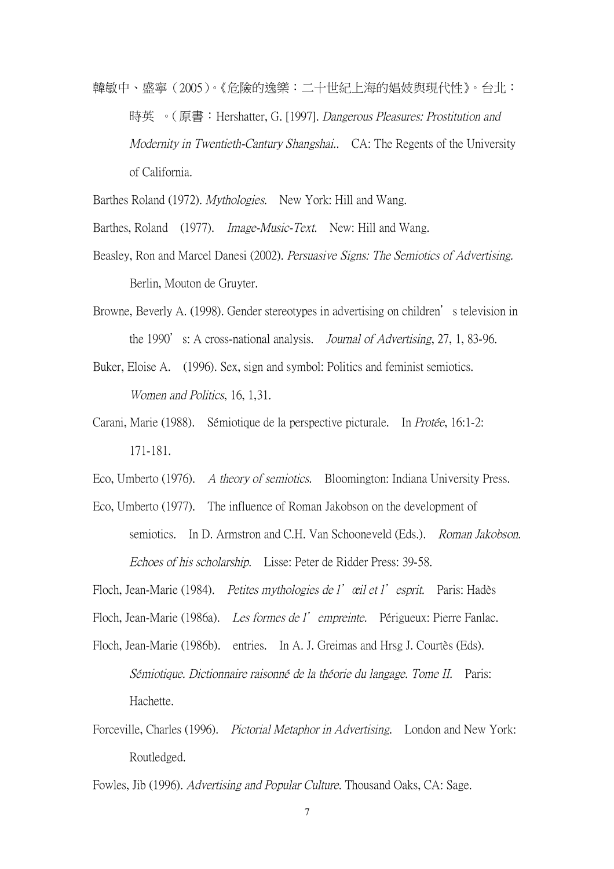韓敏中、盛寧(2005)。《危險的逸樂:二十世紀上海的娼妓與現代性》。台北: 時英 。 (原書: Hershatter, G. [1997]. Dangerous Pleasures: Prostitution and Modernity in Twentieth-Cantury Shangshai.. CA: The Regents of the University of California.

Barthes Roland (1972). *Mythologies*. New York: Hill and Wang.

Barthes, Roland (1977). *Image-Music-Text*. New: Hill and Wang.

- Beasley, Ron and Marcel Danesi (2002). Persuasive Signs: The Semiotics of Advertising. Berlin, Mouton de Gruyter.
- Browne, Beverly A. (1998). Gender stereotypes in advertising on children's television in the 1990's: A cross-national analysis. *Journal of Advertising*, 27, 1, 83-96.
- Buker, Eloise A. (1996). Sex, sign and symbol: Politics and feminist semiotics. Women and Politics, 16, 1,31.
- Carani, Marie (1988). Sémiotique de la perspective picturale. In Protée, 16:1-2: 171-181.

Eco, Umberto (1976). A theory of semiotics. Bloomington: Indiana University Press.

Eco, Umberto (1977). The influence of Roman Jakobson on the development of semiotics. In D. Armstron and C.H. Van Schooneveld (Eds.). Roman Jakobson. Echoes of his scholarship. Lisse: Peter de Ridder Press: 39-58.

Floch, Jean-Marie (1984). Petites mythologies de l'œil et l'esprit. Paris: Hadès

Floch, Jean-Marie (1986a). Les formes de l'empreinte. Périgueux: Pierre Fanlac.

- Floch, Jean-Marie (1986b). entries. In A. J. Greimas and Hrsg J. Courtès (Eds). Sémiotique. Dictionnaire raisonn<sup>é</sup> de la théorie du langage. Tome II. Paris: Hachette.
- Forceville, Charles (1996). Pictorial Metaphor in Advertising. London and New York: Routledged.

Fowles, Jib (1996). Advertising and Popular Culture. Thousand Oaks, CA: Sage.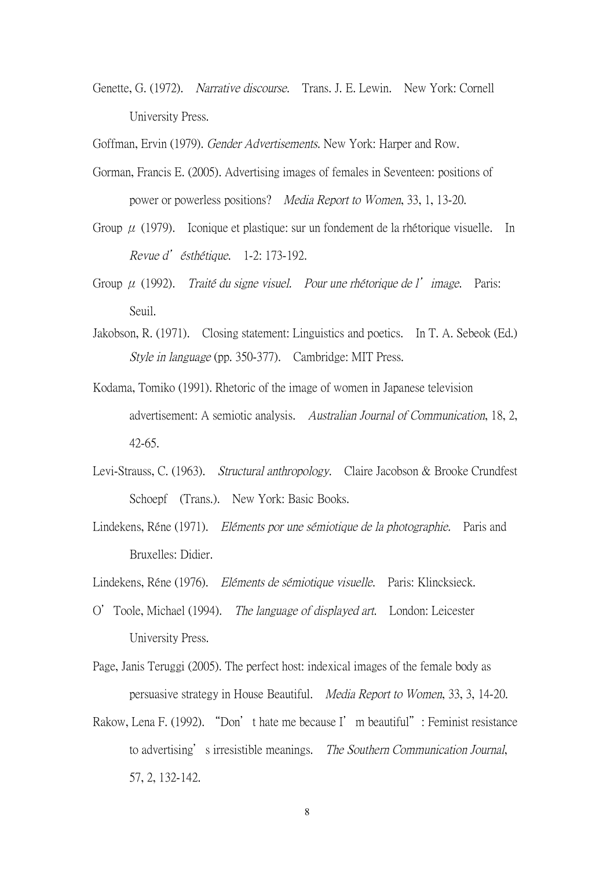Genette, G. (1972). Narrative discourse. Trans. J. E. Lewin. New York: Cornell University Press.

Goffman, Ervin (1979). Gender Advertisements. New York: Harper and Row.

- Gorman, Francis E. (2005). Advertising images of females in Seventeen: positions of power or powerless positions? Media Report to Women, 33, 1, 13-20.
- Group  $\mu$  (1979). Iconique et plastique: sur un fondement de la rhétorique visuelle. In Revue d'ésthétique. 1-2: 173-192.
- Group  $\mu$  (1992). Traité du signe visuel. Pour une rhétorique de l'image. Paris: Seuil.
- Jakobson, R. (1971). Closing statement: Linguistics and poetics. In T. A. Sebeok (Ed.) Style in language (pp. 350-377). Cambridge: MIT Press.
- Kodama, Tomiko (1991). Rhetoric of the image of women in Japanese television advertisement: A semiotic analysis. Australian Journal of Communication, 18, 2, 42-65.
- Levi-Strauss, C. (1963). Structural anthropology. Claire Jacobson & Brooke Crundfest Schoepf (Trans.). New York: Basic Books.
- Lindekens, Réne (1971). Eléments por une sémiotique de la photographie. Paris and Bruxelles: Didier.
- Lindekens, Réne (1976). Eléments de sémiotique visuelle. Paris: Klincksieck.
- O'Toole, Michael (1994). The language of displayed art. London: Leicester University Press.
- Page, Janis Teruggi (2005). The perfect host: indexical images of the female body as persuasive strategy in House Beautiful. Media Report to Women, 33, 3, 14-20.
- Rakow, Lena F. (1992). "Don't hate me because I'm beautiful": Feminist resistance to advertising's irresistible meanings. The Southern Communication Journal, 57, 2, 132-142.